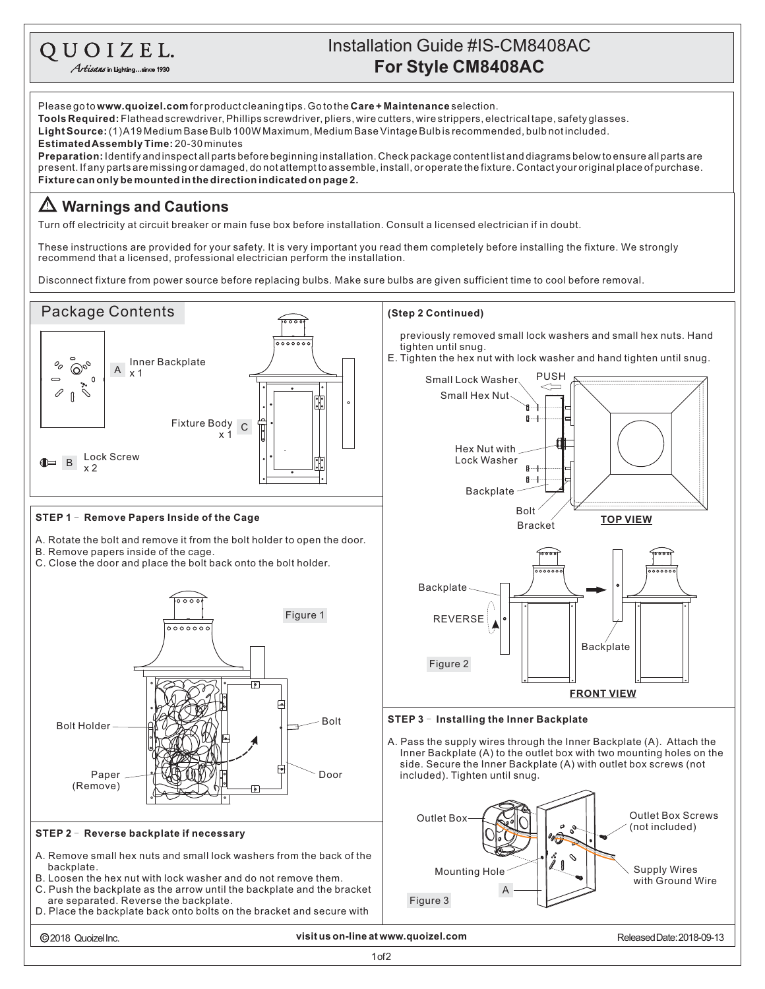## **For Style CM8408AC** Installation Guide #IS-CM8408AC

QUOIZEL. Artisans in Lighting...

Please go to **www.quoizel.com** for product cleaning tips. Go to the **Care + Maintenance** selection. **Tools Required:** Flathead screwdriver, Phillips screwdriver, pliers, wire cutters, wire strippers, electrical tape, safety glasses. (1)A19MediumBaseBulb100WMaximum,MediumBaseVintageBulbisrecommended,bulbnotincluded. **LightSource: Estimated Assembly Time:** 20-30 minutes **Preparation:** Identify and inspectall parts before beginning installation. Check package content list and diagrams below to ensure all parts are present.Ifanypartsaremissingordamaged,donotattempttoassemble,install,oroperatethefixture.Contactyouroriginalplaceofpurchase. **Fixturecanonlybemountedinthedirectionindicatedonpage2. Warnings and Cautions** Turn off electricity at circuit breaker or main fuse box before installation. Consult a licensed electrician if in doubt. These instructions are provided for your safety. It is very important you read them completely before installing the fixture. We strongly recommend that a licensed, professional electrician perform the installation. Disconnect fixture from power source before replacing bulbs. Make sure bulbs are given sufficient time to cool before removal. Package Contents **(Step 2 Continued)**  $500$ previously removed small lock washers and small hex nuts. Hand tighten until snug. E. Tighten the hex nut with lock washer and hand tighten until snug. <sup>A</sup> Inner Backplate x 1  $\overline{\mathcal{O}}_{\rho_{\mathcal{O}}}$ oq PUSH Small Lock Washer 0  $\mathbb{R}$ Small Hex Nut Fixture Body <sup>uy</sup> C Hex Nut with  $\mathbb{B}$  B Lock Screw Lock Washer x 2  $\mathbb{R}$  $B - 1$ Backplate Bolt **STEP 1 - Remove Papers Inside of the Cage TOP VIEW** Bracket A. Rotate the bolt and remove it from the bolt holder to open the door. B. Remove papers inside of the cage. C. Close the door and place the bolt back onto the bolt holder. **Backplate** <del>ío o o o</del> Figure 1 REVERSE  $0000000$ Backplate Figure 2 **FRONT VIEW STEP 3 - Installing the Inner Backplate**  $Bolt Holder$   $\left|\left| \left| \left( \left| \left( \frac{1}{2} \right) \right) \right| \left( \left| \left( \frac{1}{2} \right) \right) \right| \right| \right|$ A. Pass the supply wires through the Inner Backplate (A). Attach the Inner Backplate (A) to the outlet box with two mounting holes on the side. Secure the Inner Backplate (A) with outlet box screws (not ⇱ Paper Door included). Tighten until snug. (Remove) Outlet Box Screws Outlet Box (not included) **STEP 2 - Reverse backplate if necessary** A. Remove small hex nuts and small lock washers from the back of the backplate. Supply Wires Mounting Hole B. Loosen the hex nut with lock washer and do not remove them. with Ground Wire C. Push the backplate as the arrow until the backplate and the bracket A are separated. Reverse the backplate. Figure 3D. Place the backplate back onto bolts on the bracket and secure with 2018 QuoizelInc. **visit us on-line at www.quoizel.com** ReleasedDate:2018-09-13